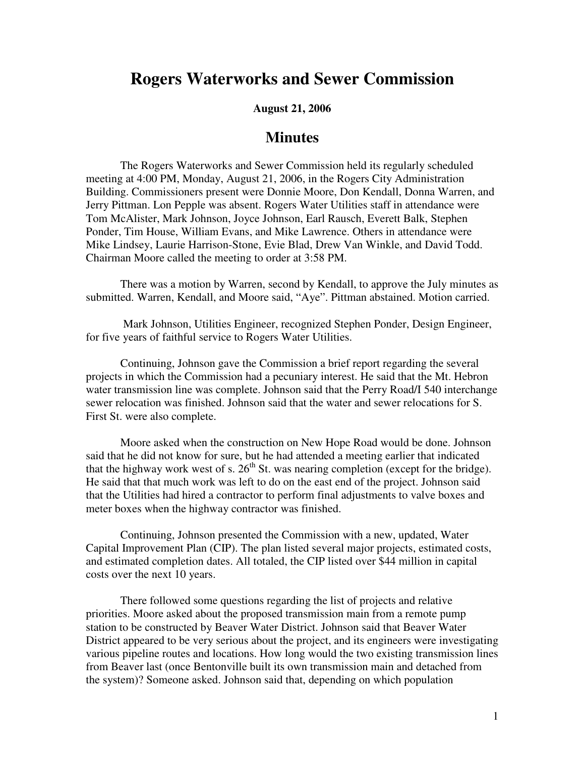## **Rogers Waterworks and Sewer Commission**

## **August 21, 2006**

## **Minutes**

The Rogers Waterworks and Sewer Commission held its regularly scheduled meeting at 4:00 PM, Monday, August 21, 2006, in the Rogers City Administration Building. Commissioners present were Donnie Moore, Don Kendall, Donna Warren, and Jerry Pittman. Lon Pepple was absent. Rogers Water Utilities staff in attendance were Tom McAlister, Mark Johnson, Joyce Johnson, Earl Rausch, Everett Balk, Stephen Ponder, Tim House, William Evans, and Mike Lawrence. Others in attendance were Mike Lindsey, Laurie Harrison-Stone, Evie Blad, Drew Van Winkle, and David Todd. Chairman Moore called the meeting to order at 3:58 PM.

There was a motion by Warren, second by Kendall, to approve the July minutes as submitted. Warren, Kendall, and Moore said, "Aye". Pittman abstained. Motion carried.

 Mark Johnson, Utilities Engineer, recognized Stephen Ponder, Design Engineer, for five years of faithful service to Rogers Water Utilities.

Continuing, Johnson gave the Commission a brief report regarding the several projects in which the Commission had a pecuniary interest. He said that the Mt. Hebron water transmission line was complete. Johnson said that the Perry Road/I 540 interchange sewer relocation was finished. Johnson said that the water and sewer relocations for S. First St. were also complete.

Moore asked when the construction on New Hope Road would be done. Johnson said that he did not know for sure, but he had attended a meeting earlier that indicated that the highway work west of s.  $26<sup>th</sup>$  St. was nearing completion (except for the bridge). He said that that much work was left to do on the east end of the project. Johnson said that the Utilities had hired a contractor to perform final adjustments to valve boxes and meter boxes when the highway contractor was finished.

Continuing, Johnson presented the Commission with a new, updated, Water Capital Improvement Plan (CIP). The plan listed several major projects, estimated costs, and estimated completion dates. All totaled, the CIP listed over \$44 million in capital costs over the next 10 years.

There followed some questions regarding the list of projects and relative priorities. Moore asked about the proposed transmission main from a remote pump station to be constructed by Beaver Water District. Johnson said that Beaver Water District appeared to be very serious about the project, and its engineers were investigating various pipeline routes and locations. How long would the two existing transmission lines from Beaver last (once Bentonville built its own transmission main and detached from the system)? Someone asked. Johnson said that, depending on which population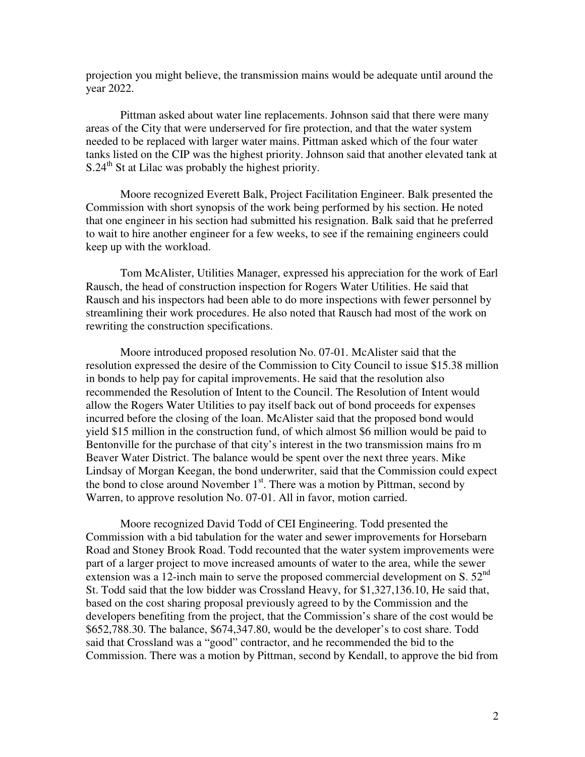projection you might believe, the transmission mains would be adequate until around the year 2022.

Pittman asked about water line replacements. Johnson said that there were many areas of the City that were underserved for fire protection, and that the water system needed to be replaced with larger water mains. Pittman asked which of the four water tanks listed on the CIP was the highest priority. Johnson said that another elevated tank at  $S.24<sup>th</sup>$  St at Lilac was probably the highest priority.

Moore recognized Everett Balk, Project Facilitation Engineer. Balk presented the Commission with short synopsis of the work being performed by his section. He noted that one engineer in his section had submitted his resignation. Balk said that he preferred to wait to hire another engineer for a few weeks, to see if the remaining engineers could keep up with the workload.

Tom McAlister, Utilities Manager, expressed his appreciation for the work of Earl Rausch, the head of construction inspection for Rogers Water Utilities. He said that Rausch and his inspectors had been able to do more inspections with fewer personnel by streamlining their work procedures. He also noted that Rausch had most of the work on rewriting the construction specifications.

Moore introduced proposed resolution No. 07-01. McAlister said that the resolution expressed the desire of the Commission to City Council to issue \$15.38 million in bonds to help pay for capital improvements. He said that the resolution also recommended the Resolution of Intent to the Council. The Resolution of Intent would allow the Rogers Water Utilities to pay itself back out of bond proceeds for expenses incurred before the closing of the loan. McAlister said that the proposed bond would yield \$15 million in the construction fund, of which almost \$6 million would be paid to Bentonville for the purchase of that city's interest in the two transmission mains fro m Beaver Water District. The balance would be spent over the next three years. Mike Lindsay of Morgan Keegan, the bond underwriter, said that the Commission could expect the bond to close around November  $1<sup>st</sup>$ . There was a motion by Pittman, second by Warren, to approve resolution No. 07-01. All in favor, motion carried.

Moore recognized David Todd of CEI Engineering. Todd presented the Commission with a bid tabulation for the water and sewer improvements for Horsebarn Road and Stoney Brook Road. Todd recounted that the water system improvements were part of a larger project to move increased amounts of water to the area, while the sewer extension was a 12-inch main to serve the proposed commercial development on S. 52<sup>nd</sup> St. Todd said that the low bidder was Crossland Heavy, for \$1,327,136.10, He said that, based on the cost sharing proposal previously agreed to by the Commission and the developers benefiting from the project, that the Commission's share of the cost would be \$652,788.30. The balance, \$674,347.80, would be the developer's to cost share. Todd said that Crossland was a "good" contractor, and he recommended the bid to the Commission. There was a motion by Pittman, second by Kendall, to approve the bid from